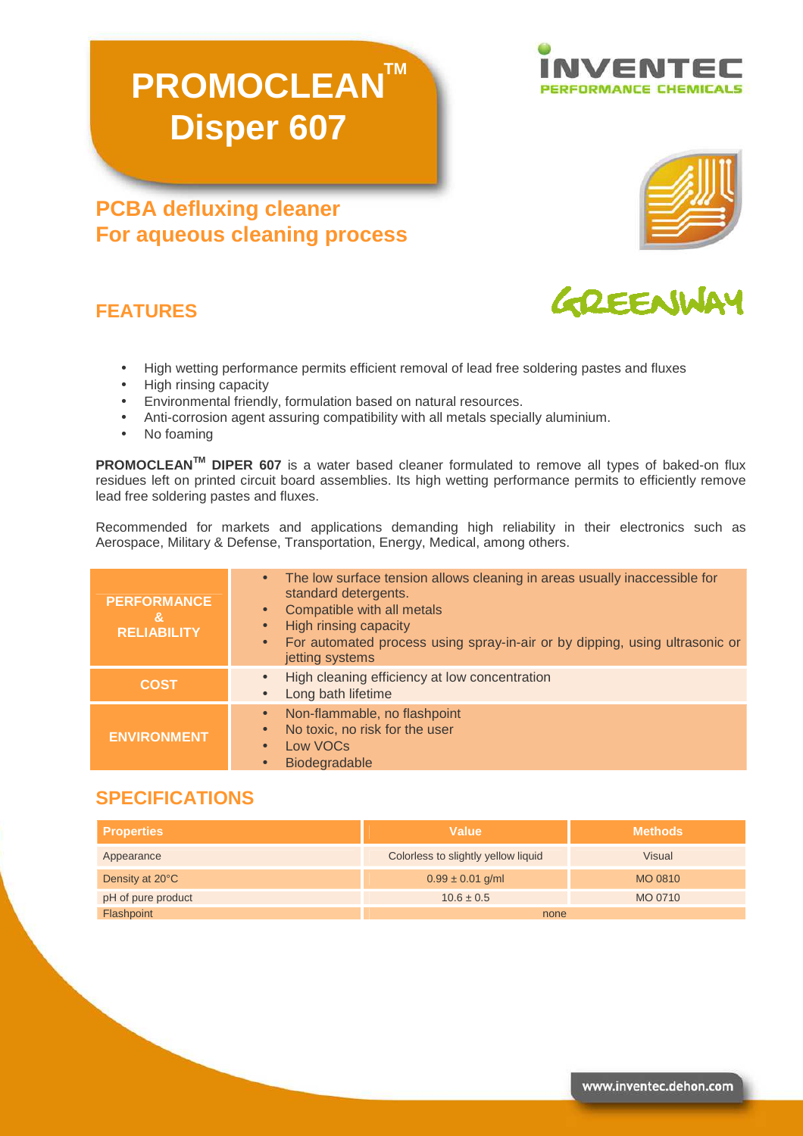# **PROMOCLEAN™ Disper 607**

# **PCBA defluxing cleaner For aqueous cleaning process**

## **FEATURES**

- High wetting performance permits efficient removal of lead free soldering pastes and fluxes
- High rinsing capacity
- Environmental friendly, formulation based on natural resources.
- Anti-corrosion agent assuring compatibility with all metals specially aluminium.
- No foaming

**PROMOCLEANTM DIPER 607** is a water based cleaner formulated to remove all types of baked-on flux residues left on printed circuit board assemblies. Its high wetting performance permits to efficiently remove lead free soldering pastes and fluxes.

Recommended for markets and applications demanding high reliability in their electronics such as Aerospace, Military & Defense, Transportation, Energy, Medical, among others.

| <b>PERFORMANCE</b><br>&<br><b>RELIABILITY</b> | The low surface tension allows cleaning in areas usually inaccessible for<br>$\bullet$<br>standard detergents.<br>Compatible with all metals<br>$\bullet$<br>High rinsing capacity<br>$\bullet$<br>For automated process using spray-in-air or by dipping, using ultrasonic or<br>$\bullet$<br>jetting systems |
|-----------------------------------------------|----------------------------------------------------------------------------------------------------------------------------------------------------------------------------------------------------------------------------------------------------------------------------------------------------------------|
| <b>COST</b>                                   | High cleaning efficiency at low concentration<br>$\bullet$<br>Long bath lifetime<br>$\bullet$                                                                                                                                                                                                                  |
| <b>ENVIRONMENT</b>                            | Non-flammable, no flashpoint<br>No toxic, no risk for the user<br>Low VOCs<br>Biodegradable                                                                                                                                                                                                                    |

#### **SPECIFICATIONS**

| <b>Properties</b>  | Value                               | <b>Methods</b> |
|--------------------|-------------------------------------|----------------|
| Appearance         | Colorless to slightly yellow liquid | <b>Visual</b>  |
| Density at 20°C    | $0.99 \pm 0.01$ g/ml                | MO 0810        |
| pH of pure product | $10.6 \pm 0.5$                      | MO 0710        |
| Flashpoint         | none                                |                |







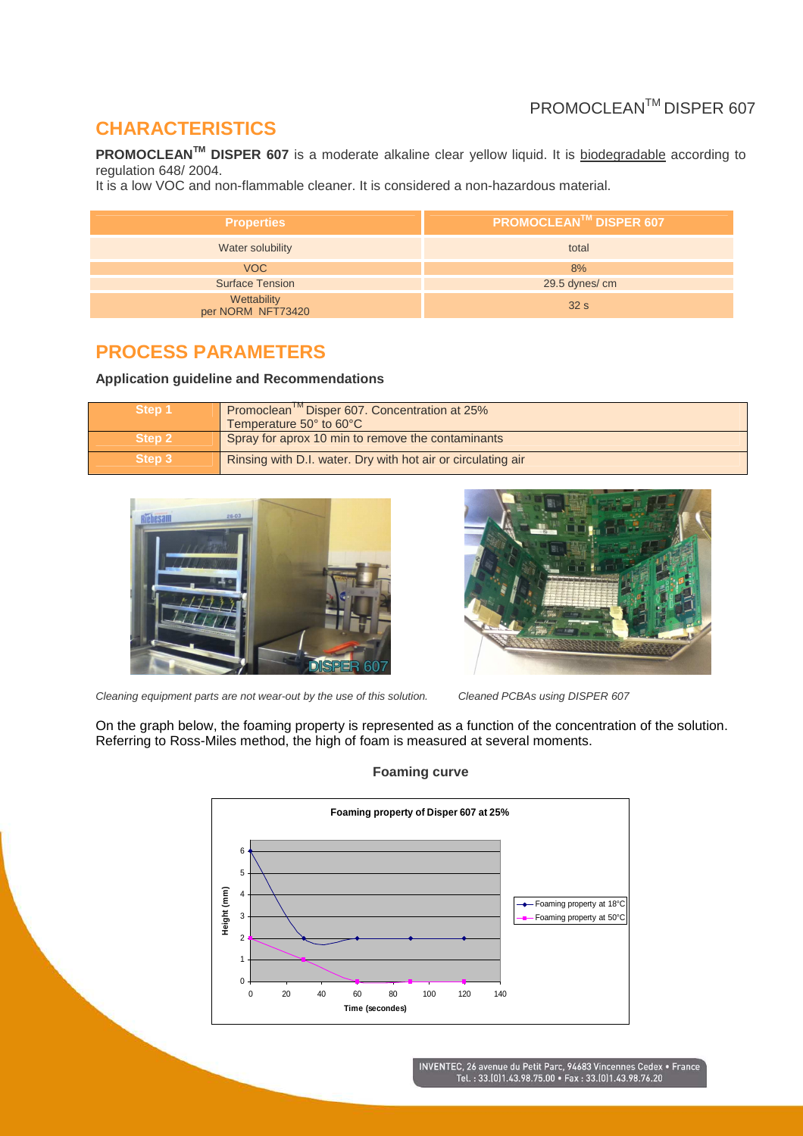# PROMOCLEANTM DISPER 607

## **CHARACTERISTICS**

**PROMOCLEAN<sup>™</sup> DISPER 607** is a moderate alkaline clear yellow liquid. It is biodegradable according to regulation 648/ 2004.

It is a low VOC and non-flammable cleaner. It is considered a non-hazardous material.

| <b>Properties</b>                | <b>PROMOCLEAN™ DISPER 607</b> |
|----------------------------------|-------------------------------|
| Water solubility                 | total                         |
| <b>VOC</b>                       | 8%                            |
| <b>Surface Tension</b>           | 29.5 dynes/cm                 |
| Wettability<br>per NORM NFT73420 | 32s                           |

#### **PROCESS PARAMETERS**

**Application guideline and Recommendations** 

| Step 1 | Promoclean <sup>IM</sup> Disper 607. Concentration at 25%<br>Temperature 50° to 60°C |
|--------|--------------------------------------------------------------------------------------|
| Step 2 | Spray for aprox 10 min to remove the contaminants                                    |
| Step 3 | Rinsing with D.I. water. Dry with hot air or circulating air                         |



Cleaning equipment parts are not wear-out by the use of this solution. Cleaned PCBAs using DISPER 607



On the graph below, the foaming property is represented as a function of the concentration of the solution. Referring to Ross-Miles method, the high of foam is measured at several moments.



**Foaming curve**